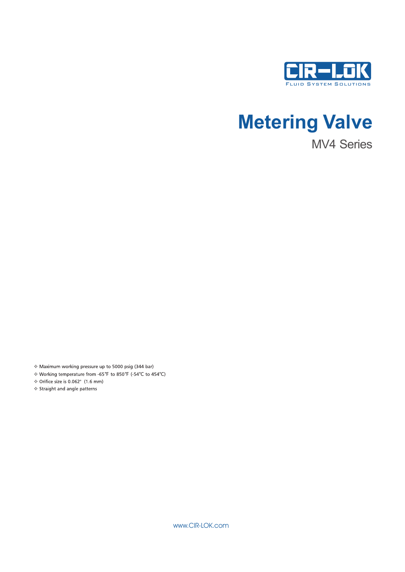

# **Metering Valve**

MV4 Series

\* Maximum working pressure up to 5000 psig (344 bar)

Norking temperature from -65°F to 850°F (-54°C to 454°C)

♦ Orifice size is 0.062" (1.6 mm)

❖ Straight and angle patterns

www.CIR-LOK.com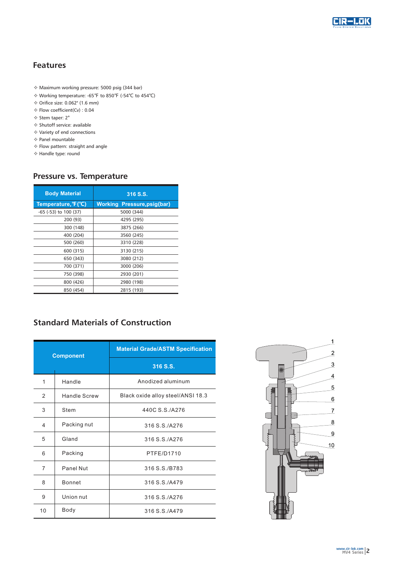

### **Features**

- $*$  Maximum working pressure: 5000 psig (344 bar)
- v Working temperature: -65℉ to 850℉ (-54℃ to 454℃)
- v Orifice size: 0.062" (1.6 mm)
- v Flow coefficient(Cv) : 0.04
- v Stem taper: 2°
- v Shutoff service: available
- v Variety of end connections
- v Panel mountable
- v Flow pattern: straight and angle
- v Handle type: round

### **Pressure vs. Temperature**

| <b>Body Material</b>  | 316 S.S.                           |  |  |  |
|-----------------------|------------------------------------|--|--|--|
| Temperature, F(°C)    | <b>Working Pressure, psig(bar)</b> |  |  |  |
| -65 (-53) to 100 (37) | 5000 (344)                         |  |  |  |
| 200 (93)              | 4295 (295)                         |  |  |  |
| 300 (148)             | 3875 (266)                         |  |  |  |
| 400 (204)             | 3560 (245)                         |  |  |  |
| 500 (260)             | 3310 (228)                         |  |  |  |
| 600 (315)             | 3130 (215)                         |  |  |  |
| 650 (343)             | 3080 (212)                         |  |  |  |
| 700 (371)             | 3000 (206)                         |  |  |  |
| 750 (398)             | 2930 (201)                         |  |  |  |
| 800 (426)             | 2980 (198)                         |  |  |  |
| 850 (454)             | 2815 (193)                         |  |  |  |

### **Standard Materials of Construction**

| <b>Component</b> |                              | <b>Material Grade/ASTM Specification</b> |  |  |  |
|------------------|------------------------------|------------------------------------------|--|--|--|
|                  |                              | 316 S.S.                                 |  |  |  |
| 1                | Handle                       | Anodized aluminum                        |  |  |  |
| 2                | <b>Handle Screw</b>          | Black oxide alloy steel/ANSI 18.3        |  |  |  |
| 3                | Stem                         | 440C S.S./A276                           |  |  |  |
| 4                | Packing nut<br>316 S.S./A276 |                                          |  |  |  |
| 5                | Gland                        | 316 S.S./A276                            |  |  |  |
| 6                | Packing                      | PTFE/D1710                               |  |  |  |
| 7                | Panel Nut                    | 316 S.S./B783                            |  |  |  |
| 8                | <b>Bonnet</b>                | 316 S.S./A479                            |  |  |  |
| 9                | Union nut                    | 316 S.S./A276                            |  |  |  |
| 10               | Body                         | 316 S.S./A479                            |  |  |  |

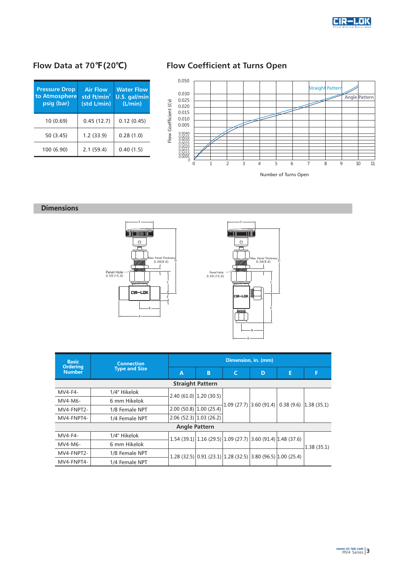

| <b>Pressure Drop</b><br>to Atmosphere<br>psig (bar) | <b>Air Flow</b><br>std ft/min <sup>3</sup><br>(std L/min) | <b>Water Flow</b><br>U.S. gal/min<br>(L/min) |  |  |
|-----------------------------------------------------|-----------------------------------------------------------|----------------------------------------------|--|--|
| 10(0.69)                                            | 0.45(12.7)                                                | 0.12(0.45)                                   |  |  |
| 50 (3.45)                                           | 1.2(33.9)                                                 | 0.28(1.0)                                    |  |  |
| 100 (6.90)                                          | 2.1(59.4)                                                 | 0.40(1.5)                                    |  |  |

## **Flow Data at 70℉(20℃) Flow Coefficient at Turns Open**



Number of Turns Open

### **Dimensions**





| <b>Basic</b>                     | <b>Connection</b><br><b>Type and Size</b> | Dimension, in. (mm)      |                          |            |                                                               |   |                         |
|----------------------------------|-------------------------------------------|--------------------------|--------------------------|------------|---------------------------------------------------------------|---|-------------------------|
| <b>Ordering</b><br><b>Number</b> |                                           | A                        | B                        |            | D                                                             | E | F                       |
| <b>Straight Pattern</b>          |                                           |                          |                          |            |                                                               |   |                         |
| MV4-F4-                          | 1/4" Hikelok                              | $2.40(61.0)$ 1.20 (30.5) |                          | 1.09(27.7) | 3.60(91.4)                                                    |   | $0.38(9.6)$ 1.38 (35.1) |
| $MVA-M6-$                        | 6 mm Hikelok                              |                          |                          |            |                                                               |   |                         |
| MV4-FNPT2-                       | 1/8 Female NPT                            | 2.00(50.8)1.00(25.4)     |                          |            |                                                               |   |                         |
| MV4-FNPT4-                       | 1/4 Female NPT                            |                          | $2.06(52.3)$ 1.03 (26.2) |            |                                                               |   |                         |
| <b>Angle Pattern</b>             |                                           |                          |                          |            |                                                               |   |                         |
| $MVA-F4-$                        | 1/4" Hikelok                              |                          |                          |            | $1.54(39.1) 1.16(29.5) 1.09(27.7) 3.60(91.4) 1.48(37.6) $     |   | 1.38(35.1)              |
| $MVA-M6-$                        | 6 mm Hikelok                              |                          |                          |            |                                                               |   |                         |
| MV4-FNPT2-                       | 1/8 Female NPT                            |                          |                          |            | $1.28$ (32.5) 0.91 (23.1) 1.28 (32.5) 3.80 (96.5) 1.00 (25.4) |   |                         |
| MV4-FNPT4-                       | 1/4 Female NPT                            |                          |                          |            |                                                               |   |                         |